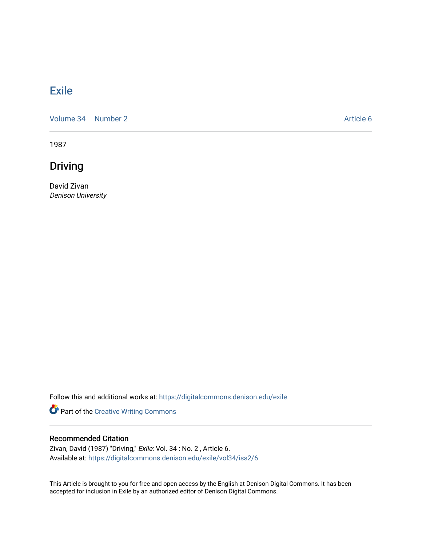## **[Exile](https://digitalcommons.denison.edu/exile)**

[Volume 34](https://digitalcommons.denison.edu/exile/vol34) [Number 2](https://digitalcommons.denison.edu/exile/vol34/iss2) Article 6

1987

Driving

David Zivan Denison University

Follow this and additional works at: [https://digitalcommons.denison.edu/exile](https://digitalcommons.denison.edu/exile?utm_source=digitalcommons.denison.edu%2Fexile%2Fvol34%2Fiss2%2F6&utm_medium=PDF&utm_campaign=PDFCoverPages) 

Part of the [Creative Writing Commons](http://network.bepress.com/hgg/discipline/574?utm_source=digitalcommons.denison.edu%2Fexile%2Fvol34%2Fiss2%2F6&utm_medium=PDF&utm_campaign=PDFCoverPages) 

## Recommended Citation

Zivan, David (1987) "Driving," Exile: Vol. 34 : No. 2, Article 6. Available at: [https://digitalcommons.denison.edu/exile/vol34/iss2/6](https://digitalcommons.denison.edu/exile/vol34/iss2/6?utm_source=digitalcommons.denison.edu%2Fexile%2Fvol34%2Fiss2%2F6&utm_medium=PDF&utm_campaign=PDFCoverPages) 

This Article is brought to you for free and open access by the English at Denison Digital Commons. It has been accepted for inclusion in Exile by an authorized editor of Denison Digital Commons.